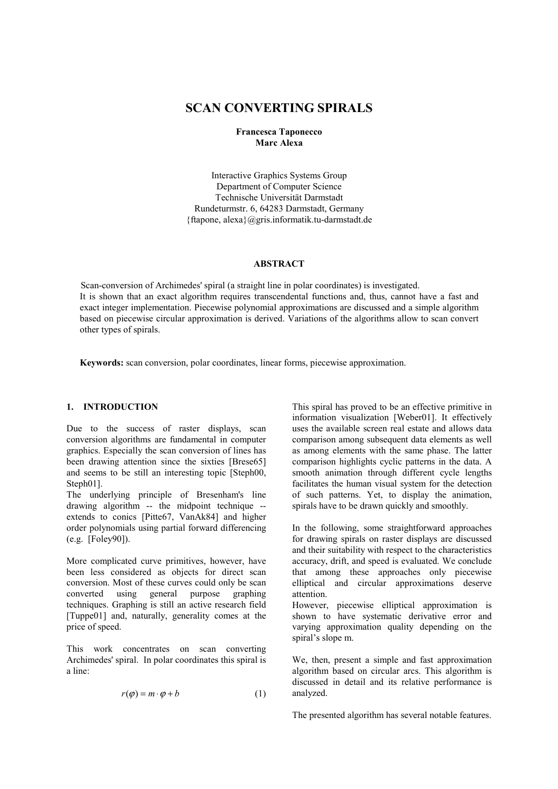# **SCAN CONVERTING SPIRALS**

## **Francesca Taponecco Marc Alexa**

Interactive Graphics Systems Group Department of Computer Science Technische Universität Darmstadt Rundeturmstr. 6, 64283 Darmstadt, Germany {ftapone, alexa}@gris.informatik.tu-darmstadt.de

#### **ABSTRACT**

 Scan-conversion of Archimedes' spiral (a straight line in polar coordinates) is investigated. It is shown that an exact algorithm requires transcendental functions and, thus, cannot have a fast and exact integer implementation. Piecewise polynomial approximations are discussed and a simple algorithm based on piecewise circular approximation is derived. Variations of the algorithms allow to scan convert other types of spirals.

**Keywords:** scan conversion, polar coordinates, linear forms, piecewise approximation.

## **1. INTRODUCTION**

Due to the success of raster displays, scan conversion algorithms are fundamental in computer graphics. Especially the scan conversion of lines has been drawing attention since the sixties [Brese65] and seems to be still an interesting topic [Steph00, Steph01].

The underlying principle of Bresenham's line drawing algorithm -- the midpoint technique - extends to conics [Pitte67, VanAk84] and higher order polynomials using partial forward differencing (e.g. [Foley90]).

More complicated curve primitives, however, have been less considered as objects for direct scan conversion. Most of these curves could only be scan converted using general purpose graphing techniques. Graphing is still an active research field [Tuppe01] and, naturally, generality comes at the price of speed.

This work concentrates on scan converting Archimedes' spiral. In polar coordinates this spiral is a line:

$$
r(\varphi) = m \cdot \varphi + b \tag{1}
$$

This spiral has proved to be an effective primitive in information visualization [Weber01]. It effectively uses the available screen real estate and allows data comparison among subsequent data elements as well as among elements with the same phase. The latter comparison highlights cyclic patterns in the data. A smooth animation through different cycle lengths facilitates the human visual system for the detection of such patterns. Yet, to display the animation, spirals have to be drawn quickly and smoothly.

In the following, some straightforward approaches for drawing spirals on raster displays are discussed and their suitability with respect to the characteristics accuracy, drift, and speed is evaluated. We conclude that among these approaches only piecewise elliptical and circular approximations deserve attention.

However, piecewise elliptical approximation is shown to have systematic derivative error and varying approximation quality depending on the spiral's slope m.

We, then, present a simple and fast approximation algorithm based on circular arcs. This algorithm is discussed in detail and its relative performance is analyzed.

The presented algorithm has several notable features.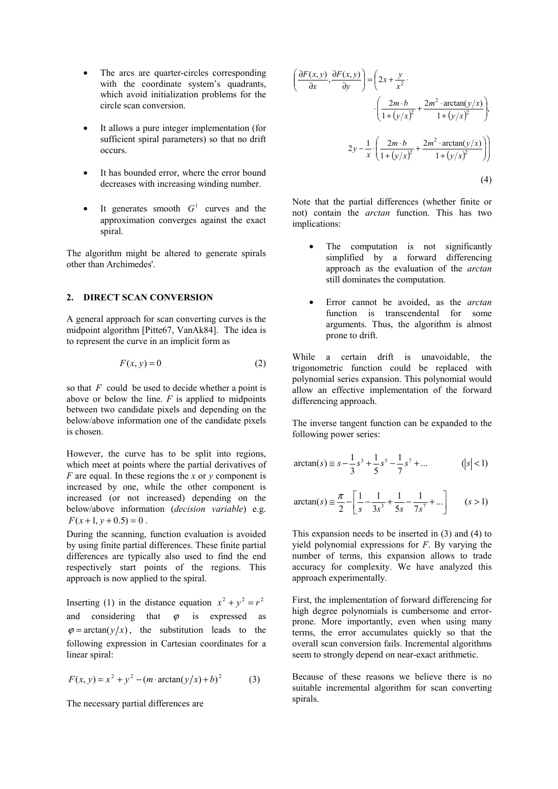- The arcs are quarter-circles corresponding with the coordinate system's quadrants, which avoid initialization problems for the circle scan conversion.
- It allows a pure integer implementation (for sufficient spiral parameters) so that no drift occurs.
- It has bounded error, where the error bound decreases with increasing winding number.
- It generates smooth  $G<sup>1</sup>$  curves and the approximation converges against the exact spiral.

The algorithm might be altered to generate spirals other than Archimedes'.

#### **2. DIRECT SCAN CONVERSION**

A general approach for scan converting curves is the midpoint algorithm [Pitte67, VanAk84]. The idea is to represent the curve in an implicit form as

$$
F(x, y) = 0 \tag{2}
$$

so that *F* could be used to decide whether a point is above or below the line.  $F$  is applied to midpoints between two candidate pixels and depending on the below/above information one of the candidate pixels is chosen.

However, the curve has to be split into regions, which meet at points where the partial derivatives of *F* are equal. In these regions the *x* or *y* component is increased by one, while the other component is increased (or not increased) depending on the below/above information (*decision variable*) e.g.  $F(x+1, y+0.5) = 0$ .

During the scanning, function evaluation is avoided by using finite partial differences. These finite partial differences are typically also used to find the end respectively start points of the regions. This approach is now applied to the spiral.

Inserting (1) in the distance equation  $x^2 + y^2 = r^2$ and considering that  $\varphi$  is expressed as  $\varphi = \arctan(\frac{y}{x})$ , the substitution leads to the following expression in Cartesian coordinates for a linear spiral:

$$
F(x, y) = x2 + y2 - (m \cdot \arctan(y/x) + b)2
$$
 (3)

The necessary partial differences are

$$
\left(\frac{\partial F(x, y)}{\partial x}, \frac{\partial F(x, y)}{\partial y}\right) = \left(2x + \frac{y}{x^2}\right)
$$

$$
\cdot \left(\frac{2m \cdot b}{1 + (y/x)^2} + \frac{2m^2 \cdot \arctan(y/x)}{1 + (y/x)^2}\right)
$$

$$
2y - \frac{1}{x} \cdot \left(\frac{2m \cdot b}{1 + (y/x)^2} + \frac{2m^2 \cdot \arctan(y/x)}{1 + (y/x)^2}\right)
$$
(4)

Note that the partial differences (whether finite or not) contain the *arctan* function. This has two implications:

- The computation is not significantly simplified by a forward differencing approach as the evaluation of the *arctan* still dominates the computation.
- Error cannot be avoided, as the *arctan* function is transcendental for some arguments. Thus, the algorithm is almost prone to drift.

While a certain drift is unavoidable, the trigonometric function could be replaced with polynomial series expansion. This polynomial would allow an effective implementation of the forward differencing approach.

The inverse tangent function can be expanded to the following power series:

$$
\arctan(s) \equiv s - \frac{1}{3}s^3 + \frac{1}{5}s^5 - \frac{1}{7}s^7 + \dots \qquad (|s| < 1)
$$

$$
\arctan(s) \approx \frac{\pi}{2} - \left[ \frac{1}{s} - \frac{1}{3s^3} + \frac{1}{5s} - \frac{1}{7s^7} + \dots \right] \qquad (s > 1)
$$

This expansion needs to be inserted in (3) and (4) to yield polynomial expressions for *F*. By varying the number of terms, this expansion allows to trade accuracy for complexity. We have analyzed this approach experimentally.

First, the implementation of forward differencing for high degree polynomials is cumbersome and errorprone. More importantly, even when using many terms, the error accumulates quickly so that the overall scan conversion fails. Incremental algorithms seem to strongly depend on near-exact arithmetic.

Because of these reasons we believe there is no suitable incremental algorithm for scan converting spirals.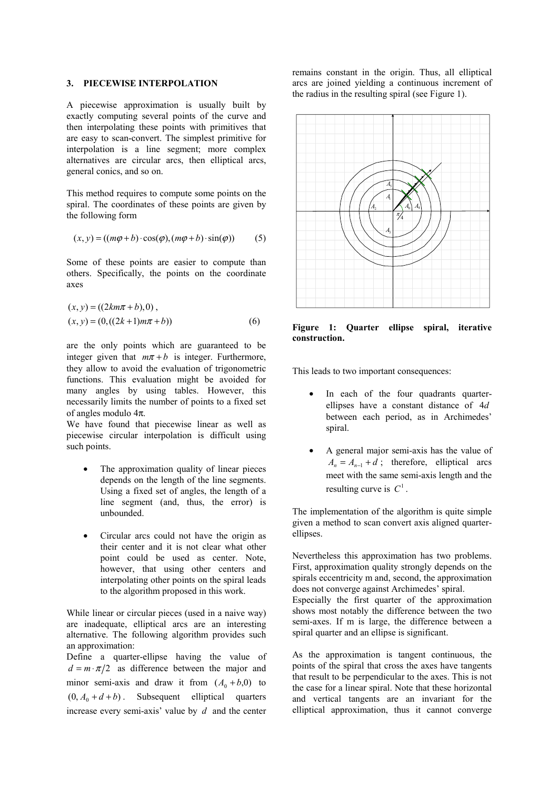#### **3. PIECEWISE INTERPOLATION**

A piecewise approximation is usually built by exactly computing several points of the curve and then interpolating these points with primitives that are easy to scan-convert. The simplest primitive for interpolation is a line segment; more complex alternatives are circular arcs, then elliptical arcs, general conics, and so on.

This method requires to compute some points on the spiral. The coordinates of these points are given by the following form

$$
(x, y) = ((m\varphi + b) \cdot \cos(\varphi), (m\varphi + b) \cdot \sin(\varphi))
$$
 (5)

Some of these points are easier to compute than others. Specifically, the points on the coordinate axes

$$
(x, y) = ((2km\pi + b), 0),(x, y) = (0, ((2k+1)m\pi + b))
$$
 (6)

are the only points which are guaranteed to be integer given that  $m\pi + b$  is integer. Furthermore, they allow to avoid the evaluation of trigonometric functions. This evaluation might be avoided for many angles by using tables. However, this necessarily limits the number of points to a fixed set of angles modulo 4π.

We have found that piecewise linear as well as piecewise circular interpolation is difficult using such points.

- The approximation quality of linear pieces depends on the length of the line segments. Using a fixed set of angles, the length of a line segment (and, thus, the error) is unbounded.
- Circular arcs could not have the origin as their center and it is not clear what other point could be used as center. Note, however, that using other centers and interpolating other points on the spiral leads to the algorithm proposed in this work.

While linear or circular pieces (used in a naive way) are inadequate, elliptical arcs are an interesting alternative. The following algorithm provides such an approximation:

Define a quarter-ellipse having the value of  $d = m \cdot \pi/2$  as difference between the major and minor semi-axis and draw it from  $(A_0 + b, 0)$  to  $(0, A_0 + d + b)$ . Subsequent elliptical quarters increase every semi-axis' value by *d* and the center remains constant in the origin. Thus, all elliptical arcs are joined yielding a continuous increment of the radius in the resulting spiral (see Figure 1).



**Figure 1: Quarter ellipse spiral, iterative construction.** 

This leads to two important consequences:

- In each of the four quadrants quarterellipses have a constant distance of 4*d* between each period, as in Archimedes' spiral.
- A general major semi-axis has the value of  $A_n = A_{n-1} + d$ ; therefore, elliptical arcs meet with the same semi-axis length and the resulting curve is  $C<sup>1</sup>$

The implementation of the algorithm is quite simple given a method to scan convert axis aligned quarterellipses.

Nevertheless this approximation has two problems. First, approximation quality strongly depends on the spirals eccentricity m and, second, the approximation does not converge against Archimedes' spiral.

Especially the first quarter of the approximation shows most notably the difference between the two semi-axes. If m is large, the difference between a spiral quarter and an ellipse is significant.

As the approximation is tangent continuous, the points of the spiral that cross the axes have tangents that result to be perpendicular to the axes. This is not the case for a linear spiral. Note that these horizontal and vertical tangents are an invariant for the elliptical approximation, thus it cannot converge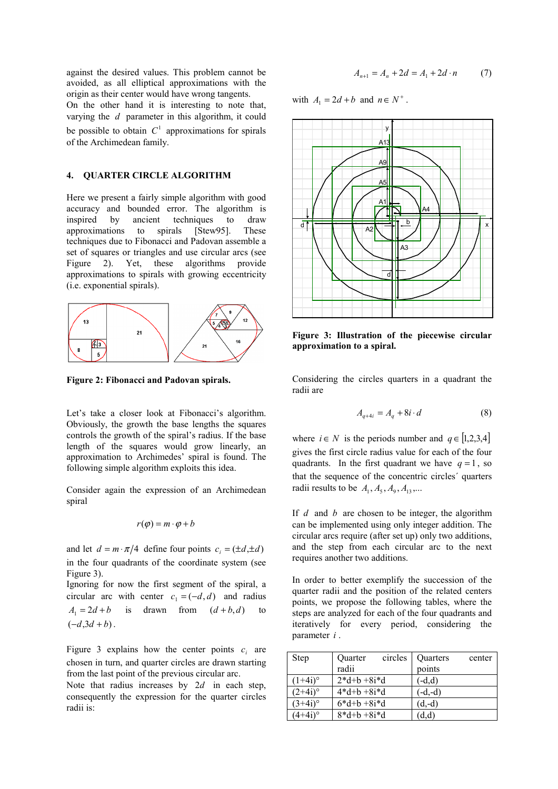against the desired values. This problem cannot be avoided, as all elliptical approximations with the origin as their center would have wrong tangents. On the other hand it is interesting to note that,

varying the *d* parameter in this algorithm, it could be possible to obtain  $C<sup>1</sup>$  approximations for spirals of the Archimedean family.

#### **4. QUARTER CIRCLE ALGORITHM**

Here we present a fairly simple algorithm with good accuracy and bounded error. The algorithm is inspired by ancient techniques to draw approximations to spirals [Stew95]. These techniques due to Fibonacci and Padovan assemble a set of squares or triangles and use circular arcs (see Figure 2). Yet, these algorithms provide approximations to spirals with growing eccentricity (i.e. exponential spirals).



**Figure 2: Fibonacci and Padovan spirals.** 

Let's take a closer look at Fibonacci's algorithm. Obviously, the growth the base lengths the squares controls the growth of the spiral's radius. If the base length of the squares would grow linearly, an approximation to Archimedes' spiral is found. The following simple algorithm exploits this idea.

Consider again the expression of an Archimedean spiral

$$
r(\varphi) = m \cdot \varphi + b
$$

and let  $d = m \cdot \pi/4$  define four points  $c_i = (\pm d, \pm d)$ in the four quadrants of the coordinate system (see Figure 3).

Ignoring for now the first segment of the spiral, a circular arc with center  $c_1 = (-d, d)$  and radius  $A_1 = 2d + b$  is drawn from  $(d+b, d)$  to  $(-d,3d + b)$ .

Figure 3 explains how the center points  $c_i$  are chosen in turn, and quarter circles are drawn starting from the last point of the previous circular arc.

Note that radius increases by  $2d$  in each step, consequently the expression for the quarter circles radii is:

$$
A_{n+1} = A_n + 2d = A_1 + 2d \cdot n \tag{7}
$$

with  $A_1 = 2d + b$  and  $n \in N^+$ .



**Figure 3: Illustration of the piecewise circular approximation to a spiral.** 

Considering the circles quarters in a quadrant the radii are

$$
A_{q+4i} = A_q + 8i \cdot d \tag{8}
$$

where  $i \in N$  is the periods number and  $q \in [1,2,3,4]$ gives the first circle radius value for each of the four quadrants. In the first quadrant we have  $q = 1$ , so that the sequence of the concentric circles´ quarters radii results to be  $A_1, A_5, A_9, A_{13}$ ,...

If *d* and *b* are chosen to be integer, the algorithm can be implemented using only integer addition. The circular arcs require (after set up) only two additions, and the step from each circular arc to the next requires another two additions.

In order to better exemplify the succession of the quarter radii and the position of the related centers points, we propose the following tables, where the steps are analyzed for each of the four quadrants and iteratively for every period, considering the parameter *i* .

| Step       | Quarter      | circles | Quarters  | center |
|------------|--------------|---------|-----------|--------|
|            | radii        |         | points    |        |
| $(1+4i)$ ° | $2*d+b+8i*d$ |         | $-d.d$    |        |
| $(2+4i)$ ° | $4*d+b+8i*d$ |         | $(-d,-d)$ |        |
| $(3+4i)$ ° | $6*d+b+8i*d$ |         | $(d,-d)$  |        |
|            | $8*d+b+8i*d$ |         | (d,d)     |        |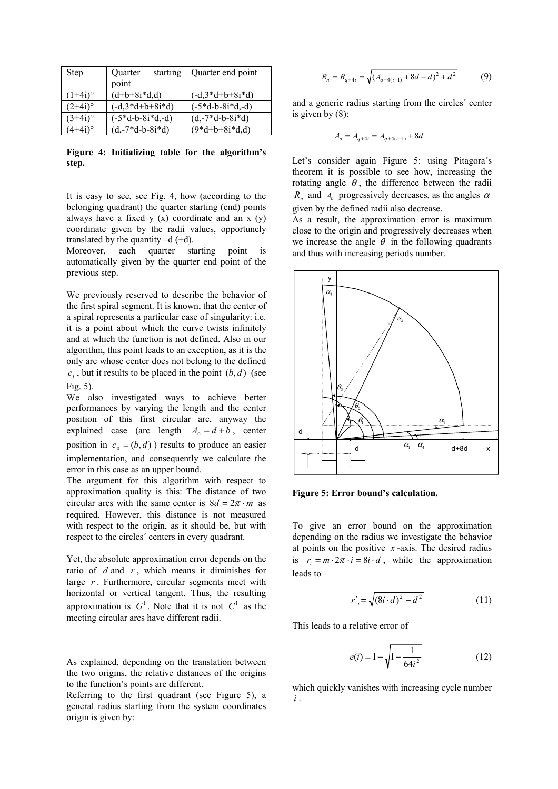| <b>Step</b>         | starting<br>Quarter         | Quarter end point           |  |
|---------------------|-----------------------------|-----------------------------|--|
|                     | point                       |                             |  |
| $1+4i$ <sup>o</sup> | $(d+b+8i*d,d)$              | $(-d, 3 * d + b + 8i * d)$  |  |
| $(2+4i)$ °          | $(-d, 3 * d + b + 8i * d)$  | $(-5 * d - b - 8i * d, -d)$ |  |
| $3+4i$ <sup>o</sup> | $(-5 * d - b - 8i * d, -d)$ | $(d,-7*d-b-8i*d)$           |  |
| $(4+4i)$ °          | $(d,-7*d-b-8i*d)$           | $(9*d+b+8i*d,d)$            |  |

**Figure 4: Initializing table for the algorithm's step.** 

It is easy to see, see Fig. 4, how (according to the belonging quadrant) the quarter starting (end) points always have a fixed  $y(x)$  coordinate and an  $x(y)$ coordinate given by the radii values, opportunely translated by the quantity  $-d$  (+d).

Moreover, each quarter starting point is automatically given by the quarter end point of the previous step.

We previously reserved to describe the behavior of the first spiral segment. It is known, that the center of a spiral represents a particular case of singularity: i.e. it is a point about which the curve twists infinitely and at which the function is not defined. Also in our algorithm, this point leads to an exception, as it is the only arc whose center does not belong to the defined  $c_i$ , but it results to be placed in the point  $(b, d)$  (see Fig. 5).

We also investigated ways to achieve better performances by varying the length and the center position of this first circular arc, anyway the explained case (arc length  $A_0 = d + b$ , center position in  $c_0 = (b, d)$  results to produce an easier implementation, and consequently we calculate the error in this case as an upper bound.

The argument for this algorithm with respect to approximation quality is this: The distance of two circular arcs with the same center is  $8d = 2\pi \cdot m$  as required. However, this distance is not measured with respect to the origin, as it should be, but with respect to the circles´ centers in every quadrant.

Yet, the absolute approximation error depends on the ratio of *d* and *r* , which means it diminishes for large *r* . Furthermore, circular segments meet with horizontal or vertical tangent. Thus, the resulting approximation is  $G^1$ . Note that it is not  $C^1$  as the meeting circular arcs have different radii.

As explained, depending on the translation between the two origins, the relative distances of the origins to the function's points are different.

Referring to the first quadrant (see Figure 5), a general radius starting from the system coordinates origin is given by:

$$
R_n = R_{q+4i} = \sqrt{\left(A_{q+4(i-1)} + 8d - d\right)^2 + d^2} \tag{9}
$$

and a generic radius starting from the circles´ center is given by (8):

$$
A_n = A_{q+4i} = A_{q+4(i-1)} + 8d
$$

Let's consider again Figure 5: using Pitagora´s theorem it is possible to see how, increasing the rotating angle  $\theta$ , the difference between the radii  $R_n$  and  $A_n$  progressively decreases, as the angles  $\alpha$ given by the defined radii also decrease.

As a result, the approximation error is maximum close to the origin and progressively decreases when we increase the angle  $\theta$  in the following quadrants and thus with increasing periods number.



**Figure 5: Error bound's calculation.** 

To give an error bound on the approximation depending on the radius we investigate the behavior at points on the positive  $x$ -axis. The desired radius is  $r_i = m \cdot 2\pi \cdot i = 8i \cdot d$ , while the approximation leads to

$$
r'_{i} = \sqrt{(8i \cdot d)^{2} - d^{2}}
$$
 (11)

This leads to a relative error of

$$
e(i) = 1 - \sqrt{1 - \frac{1}{64i^2}}\tag{12}
$$

which quickly vanishes with increasing cycle number *i* .